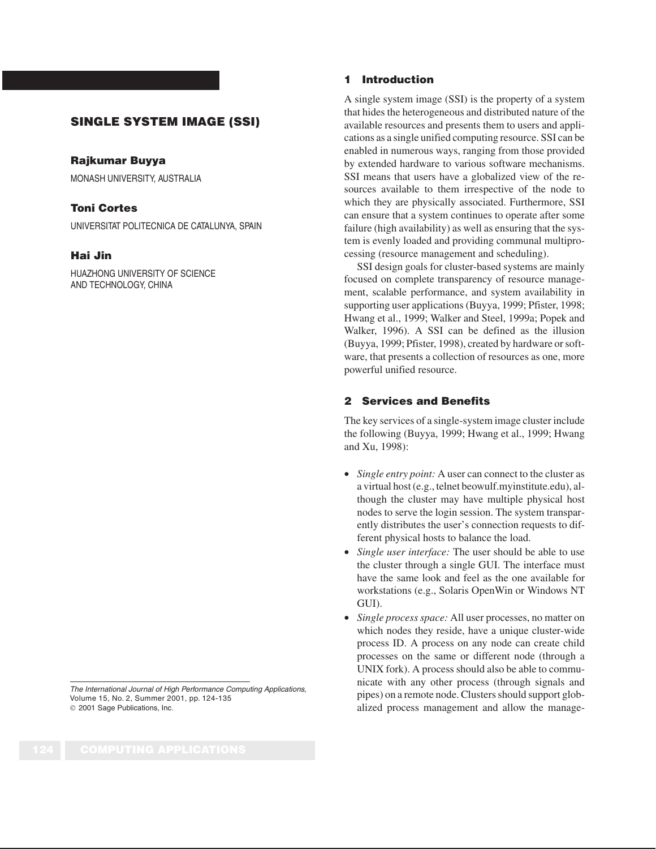# **SINGLE SYSTEM IMAGE (SSI)**

#### **Rajkumar Buyya**

MONASH UNIVERSITY, AUSTRALIA

## **Toni Cortes**

UNIVERSITAT POLITECNICA DE CATALUNYA, SPAIN

### **Hai Jin**

HUAZHONG UNIVERSITY OF SCIENCE AND TECHNOLOGY, CHINA

The International Journal of High Performance Computing Applications, Volume 15, No. 2, Summer 2001, pp. 124-135 2001 Sage Publications, Inc.

### **1 Introduction**

A single system image (SSI) is the property of a system that hides the heterogeneous and distributed nature of the available resources and presents them to users and applications as a single unified computing resource. SSI can be enabled in numerous ways, ranging from those provided by extended hardware to various software mechanisms. SSI means that users have a globalized view of the resources available to them irrespective of the node to which they are physically associated. Furthermore, SSI can ensure that a system continues to operate after some failure (high availability) as well as ensuring that the system is evenly loaded and providing communal multiprocessing (resource management and scheduling).

SSI design goals for cluster-based systems are mainly focused on complete transparency of resource management, scalable performance, and system availability in supporting user applications (Buyya, 1999; Pfister, 1998; Hwang et al., 1999; Walker and Steel, 1999a; Popek and Walker, 1996). A SSI can be defined as the illusion (Buyya, 1999; Pfister, 1998), created by hardware or software, that presents a collection of resources as one, more powerful unified resource.

### **2 Services and Benefits**

The key services of a single-system image cluster include the following (Buyya, 1999; Hwang et al., 1999; Hwang and Xu, 1998):

- *Single entry point:* A user can connect to the cluster as a virtual host (e.g., telnet beowulf.myinstitute.edu), although the cluster may have multiple physical host nodes to serve the login session. The system transparently distributes the user's connection requests to different physical hosts to balance the load.
- *Single user interface:* The user should be able to use the cluster through a single GUI. The interface must have the same look and feel as the one available for workstations (e.g., Solaris OpenWin or Windows NT GUI).
- *Single process space:* All user processes, no matter on which nodes they reside, have a unique cluster-wide process ID. A process on any node can create child processes on the same or different node (through a UNIX fork). A process should also be able to communicate with any other process (through signals and pipes) on a remote node. Clusters should support globalized process management and allow the manage-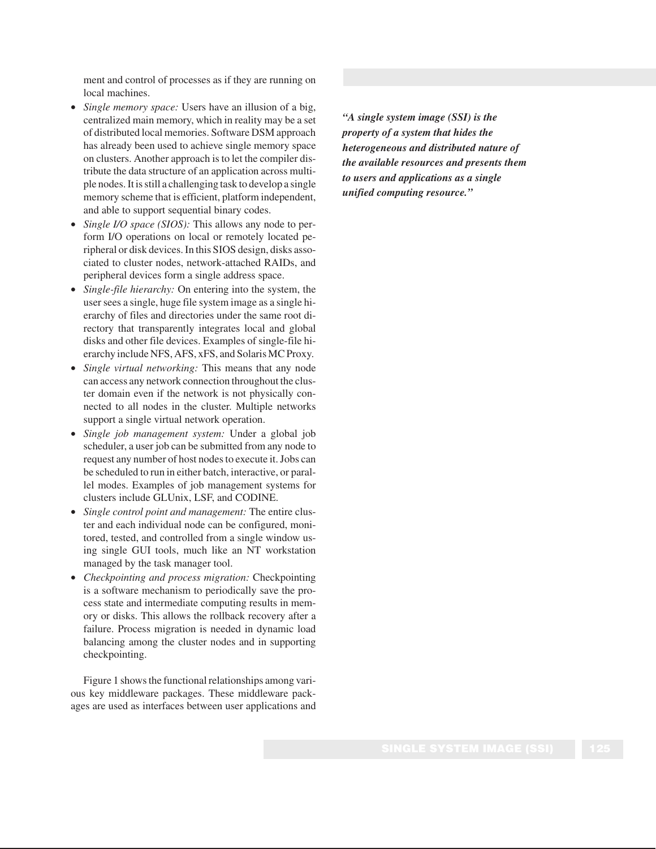ment and control of processes as if they are running on local machines.

- *Single memory space:* Users have an illusion of a big, centralized main memory, which in reality may be a set of distributed local memories. Software DSM approach has already been used to achieve single memory space on clusters. Another approach is to let the compiler distribute the data structure of an application across multiple nodes. It is still a challenging task to develop a single memory scheme that is efficient, platform independent, and able to support sequential binary codes.
- *Single I/O space (SIOS):* This allows any node to perform I/O operations on local or remotely located peripheral or disk devices. In this SIOS design, disks associated to cluster nodes, network-attached RAIDs, and peripheral devices form a single address space.
- *Single-file hierarchy:* On entering into the system, the user sees a single, huge file system image as a single hierarchy of files and directories under the same root directory that transparently integrates local and global disks and other file devices. Examples of single-file hierarchy include NFS, AFS, xFS, and Solaris MC Proxy.
- *Single virtual networking:* This means that any node can access any network connection throughout the cluster domain even if the network is not physically connected to all nodes in the cluster. Multiple networks support a single virtual network operation.
- *Single job management system:* Under a global job scheduler, a user job can be submitted from any node to request any number of host nodes to execute it. Jobs can be scheduled to run in either batch, interactive, or parallel modes. Examples of job management systems for clusters include GLUnix, LSF, and CODINE.
- *Single control point and management:* The entire cluster and each individual node can be configured, monitored, tested, and controlled from a single window using single GUI tools, much like an NT workstation managed by the task manager tool.
- *Checkpointing and process migration:* Checkpointing is a software mechanism to periodically save the process state and intermediate computing results in memory or disks. This allows the rollback recovery after a failure. Process migration is needed in dynamic load balancing among the cluster nodes and in supporting checkpointing.

Figure 1 shows the functional relationships among various key middleware packages. These middleware packages are used as interfaces between user applications and

*"A single system image (SSI) is the property of a system that hides the heterogeneous and distributed nature of the available resources and presents them to users and applications as a single unified computing resource."*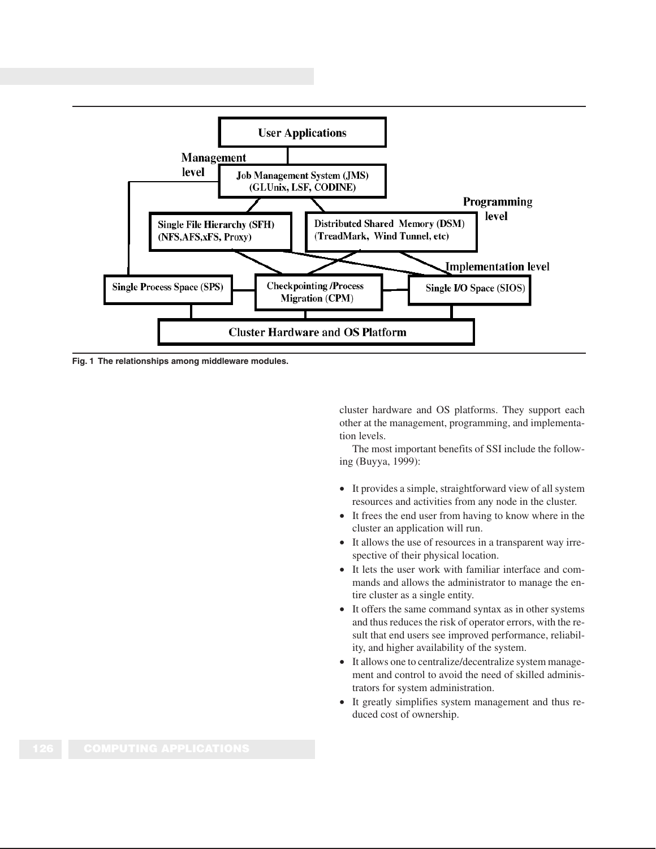

**Fig. 1 The relationships among middleware modules.**

cluster hardware and OS platforms. They support each other at the management, programming, and implementation levels.

The most important benefits of SSI include the following (Buyya, 1999):

- It provides a simple, straightforward view of all system resources and activities from any node in the cluster.
- It frees the end user from having to know where in the cluster an application will run.
- It allows the use of resources in a transparent way irrespective of their physical location.
- It lets the user work with familiar interface and commands and allows the administrator to manage the entire cluster as a single entity.
- It offers the same command syntax as in other systems and thus reduces the risk of operator errors, with the result that end users see improved performance, reliability, and higher availability of the system.
- It allows one to centralize/decentralize system management and control to avoid the need of skilled administrators for system administration.
- It greatly simplifies system management and thus reduced cost of ownership.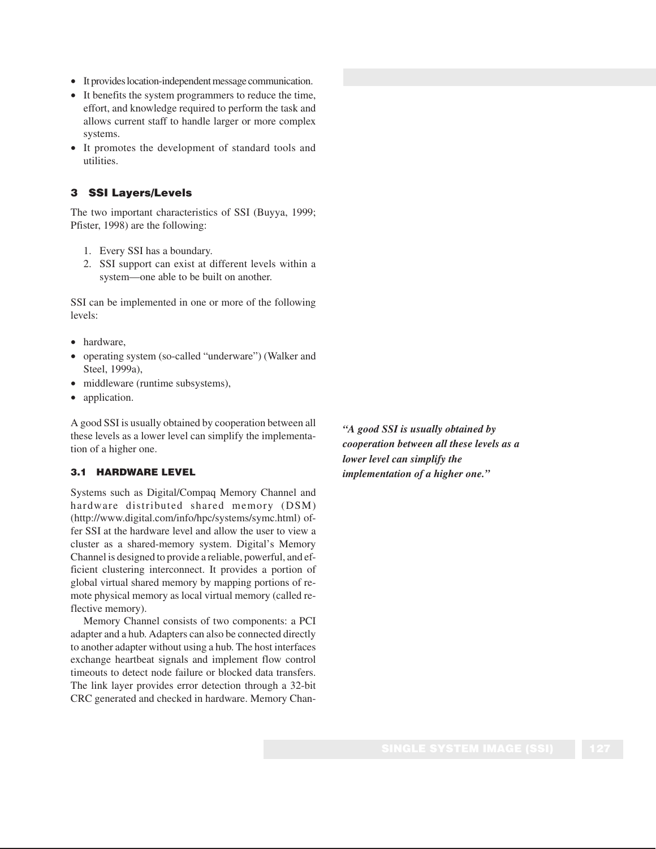- It provides location-independent message communication.
- It benefits the system programmers to reduce the time, effort, and knowledge required to perform the task and allows current staff to handle larger or more complex systems.
- It promotes the development of standard tools and utilities.

### **3 SSI Layers/Levels**

The two important characteristics of SSI (Buyya, 1999; Pfister, 1998) are the following:

- 1. Every SSI has a boundary.
- 2. SSI support can exist at different levels within a system—one able to be built on another.

SSI can be implemented in one or more of the following levels:

- hardware,
- operating system (so-called "underware") (Walker and Steel, 1999a),
- middleware (runtime subsystems),
- application.

A good SSI is usually obtained by cooperation between all these levels as a lower level can simplify the implementation of a higher one.

### **3.1 HARDWARE LEVEL**

Systems such as Digital/Compaq Memory Channel and hardware distributed shared memory (DSM) (http://www.digital.com/info/hpc/systems/symc.html) offer SSI at the hardware level and allow the user to view a cluster as a shared-memory system. Digital's Memory Channel is designed to provide a reliable, powerful, and efficient clustering interconnect. It provides a portion of global virtual shared memory by mapping portions of remote physical memory as local virtual memory (called reflective memory).

Memory Channel consists of two components: a PCI adapter and a hub. Adapters can also be connected directly to another adapter without using a hub. The host interfaces exchange heartbeat signals and implement flow control timeouts to detect node failure or blocked data transfers. The link layer provides error detection through a 32-bit CRC generated and checked in hardware. Memory Chan-

*"A good SSI is usually obtained by cooperation between all these levels as a lower level can simplify the implementation of a higher one."*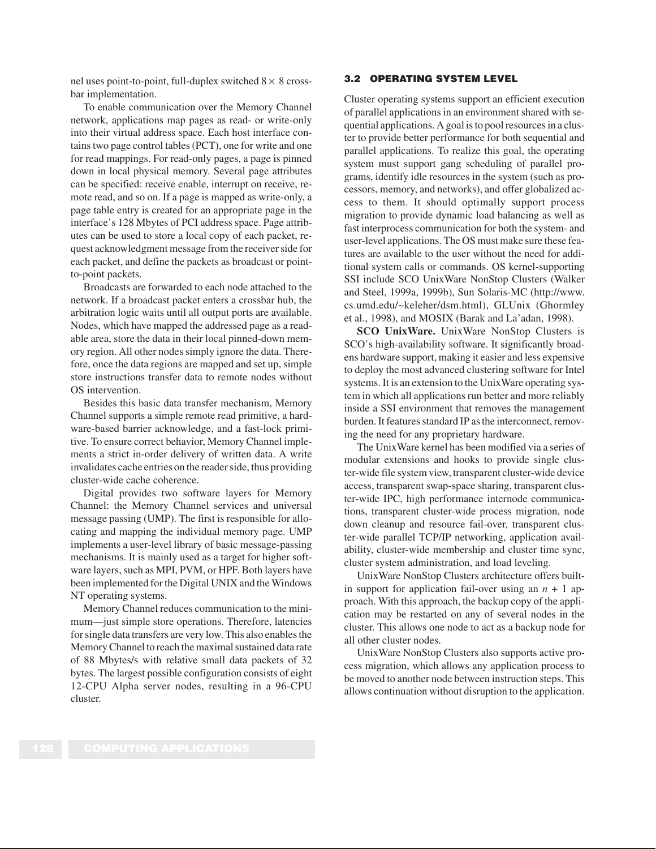nel uses point-to-point, full-duplex switched  $8 \times 8$  crossbar implementation.

To enable communication over the Memory Channel network, applications map pages as read- or write-only into their virtual address space. Each host interface contains two page control tables (PCT), one for write and one for read mappings. For read-only pages, a page is pinned down in local physical memory. Several page attributes can be specified: receive enable, interrupt on receive, remote read, and so on. If a page is mapped as write-only, a page table entry is created for an appropriate page in the interface's 128 Mbytes of PCI address space. Page attributes can be used to store a local copy of each packet, request acknowledgment message from the receiver side for each packet, and define the packets as broadcast or pointto-point packets.

Broadcasts are forwarded to each node attached to the network. If a broadcast packet enters a crossbar hub, the arbitration logic waits until all output ports are available. Nodes, which have mapped the addressed page as a readable area, store the data in their local pinned-down memory region. All other nodes simply ignore the data. Therefore, once the data regions are mapped and set up, simple store instructions transfer data to remote nodes without OS intervention.

Besides this basic data transfer mechanism, Memory Channel supports a simple remote read primitive, a hardware-based barrier acknowledge, and a fast-lock primitive. To ensure correct behavior, Memory Channel implements a strict in-order delivery of written data. A write invalidates cache entries on the reader side, thus providing cluster-wide cache coherence.

Digital provides two software layers for Memory Channel: the Memory Channel services and universal message passing (UMP). The first is responsible for allocating and mapping the individual memory page. UMP implements a user-level library of basic message-passing mechanisms. It is mainly used as a target for higher software layers, such as MPI, PVM, or HPF. Both layers have been implemented for the Digital UNIX and the Windows NT operating systems.

Memory Channel reduces communication to the minimum—just simple store operations. Therefore, latencies for single data transfers are very low. This also enables the Memory Channel to reach the maximal sustained data rate of 88 Mbytes/s with relative small data packets of 32 bytes. The largest possible configuration consists of eight 12-CPU Alpha server nodes, resulting in a 96-CPU cluster.

### **3.2 OPERATING SYSTEM LEVEL**

Cluster operating systems support an efficient execution of parallel applications in an environment shared with sequential applications. A goal is to pool resources in a cluster to provide better performance for both sequential and parallel applications. To realize this goal, the operating system must support gang scheduling of parallel programs, identify idle resources in the system (such as processors, memory, and networks), and offer globalized access to them. It should optimally support process migration to provide dynamic load balancing as well as fast interprocess communication for both the system- and user-level applications. The OS must make sure these features are available to the user without the need for additional system calls or commands. OS kernel-supporting SSI include SCO UnixWare NonStop Clusters (Walker and Steel, 1999a, 1999b), Sun Solaris-MC (http://www. cs.umd.edu/~keleher/dsm.html), GLUnix (Ghormley et al., 1998), and MOSIX (Barak and La'adan, 1998).

**SCO UnixWare.** UnixWare NonStop Clusters is SCO's high-availability software. It significantly broadens hardware support, making it easier and less expensive to deploy the most advanced clustering software for Intel systems. It is an extension to the UnixWare operating system in which all applications run better and more reliably inside a SSI environment that removes the management burden. It features standard IP as the interconnect, removing the need for any proprietary hardware.

The UnixWare kernel has been modified via a series of modular extensions and hooks to provide single cluster-wide file system view, transparent cluster-wide device access, transparent swap-space sharing, transparent cluster-wide IPC, high performance internode communications, transparent cluster-wide process migration, node down cleanup and resource fail-over, transparent cluster-wide parallel TCP/IP networking, application availability, cluster-wide membership and cluster time sync, cluster system administration, and load leveling.

UnixWare NonStop Clusters architecture offers builtin support for application fail-over using an  $n + 1$  approach. With this approach, the backup copy of the application may be restarted on any of several nodes in the cluster. This allows one node to act as a backup node for all other cluster nodes.

UnixWare NonStop Clusters also supports active process migration, which allows any application process to be moved to another node between instruction steps. This allows continuation without disruption to the application.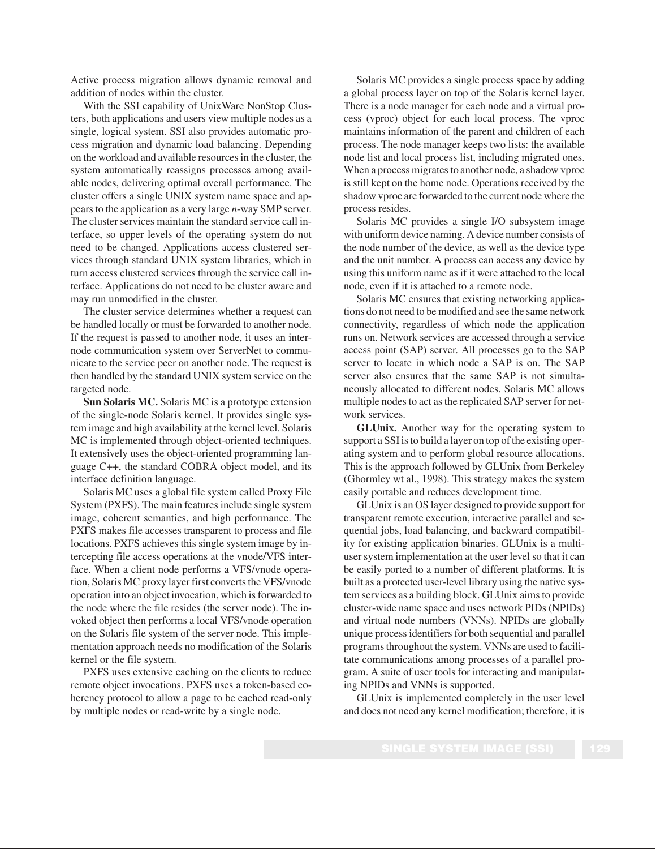Active process migration allows dynamic removal and addition of nodes within the cluster.

With the SSI capability of UnixWare NonStop Clusters, both applications and users view multiple nodes as a single, logical system. SSI also provides automatic process migration and dynamic load balancing. Depending on the workload and available resources in the cluster, the system automatically reassigns processes among available nodes, delivering optimal overall performance. The cluster offers a single UNIX system name space and appears to the application as a very large *n*-way SMP server. The cluster services maintain the standard service call interface, so upper levels of the operating system do not need to be changed. Applications access clustered services through standard UNIX system libraries, which in turn access clustered services through the service call interface. Applications do not need to be cluster aware and may run unmodified in the cluster.

The cluster service determines whether a request can be handled locally or must be forwarded to another node. If the request is passed to another node, it uses an internode communication system over ServerNet to communicate to the service peer on another node. The request is then handled by the standard UNIX system service on the targeted node.

**Sun Solaris MC.** Solaris MC is a prototype extension of the single-node Solaris kernel. It provides single system image and high availability at the kernel level. Solaris MC is implemented through object-oriented techniques. It extensively uses the object-oriented programming language C++, the standard COBRA object model, and its interface definition language.

Solaris MC uses a global file system called Proxy File System (PXFS). The main features include single system image, coherent semantics, and high performance. The PXFS makes file accesses transparent to process and file locations. PXFS achieves this single system image by intercepting file access operations at the vnode/VFS interface. When a client node performs a VFS/vnode operation, Solaris MC proxy layer first converts the VFS/vnode operation into an object invocation, which is forwarded to the node where the file resides (the server node). The invoked object then performs a local VFS/vnode operation on the Solaris file system of the server node. This implementation approach needs no modification of the Solaris kernel or the file system.

PXFS uses extensive caching on the clients to reduce remote object invocations. PXFS uses a token-based coherency protocol to allow a page to be cached read-only by multiple nodes or read-write by a single node.

Solaris MC provides a single process space by adding a global process layer on top of the Solaris kernel layer. There is a node manager for each node and a virtual process (vproc) object for each local process. The vproc maintains information of the parent and children of each process. The node manager keeps two lists: the available node list and local process list, including migrated ones. When a process migrates to another node, a shadow vproc is still kept on the home node. Operations received by the shadow vproc are forwarded to the current node where the process resides.

Solaris MC provides a single I/O subsystem image with uniform device naming. A device number consists of the node number of the device, as well as the device type and the unit number. A process can access any device by using this uniform name as if it were attached to the local node, even if it is attached to a remote node.

Solaris MC ensures that existing networking applications do not need to be modified and see the same network connectivity, regardless of which node the application runs on. Network services are accessed through a service access point (SAP) server. All processes go to the SAP server to locate in which node a SAP is on. The SAP server also ensures that the same SAP is not simultaneously allocated to different nodes. Solaris MC allows multiple nodes to act as the replicated SAP server for network services.

**GLUnix.** Another way for the operating system to support a SSI is to build a layer on top of the existing operating system and to perform global resource allocations. This is the approach followed by GLUnix from Berkeley (Ghormley wt al., 1998). This strategy makes the system easily portable and reduces development time.

GLUnix is an OS layer designed to provide support for transparent remote execution, interactive parallel and sequential jobs, load balancing, and backward compatibility for existing application binaries. GLUnix is a multiuser system implementation at the user level so that it can be easily ported to a number of different platforms. It is built as a protected user-level library using the native system services as a building block. GLUnix aims to provide cluster-wide name space and uses network PIDs (NPIDs) and virtual node numbers (VNNs). NPIDs are globally unique process identifiers for both sequential and parallel programs throughout the system. VNNs are used to facilitate communications among processes of a parallel program. A suite of user tools for interacting and manipulating NPIDs and VNNs is supported.

GLUnix is implemented completely in the user level and does not need any kernel modification; therefore, it is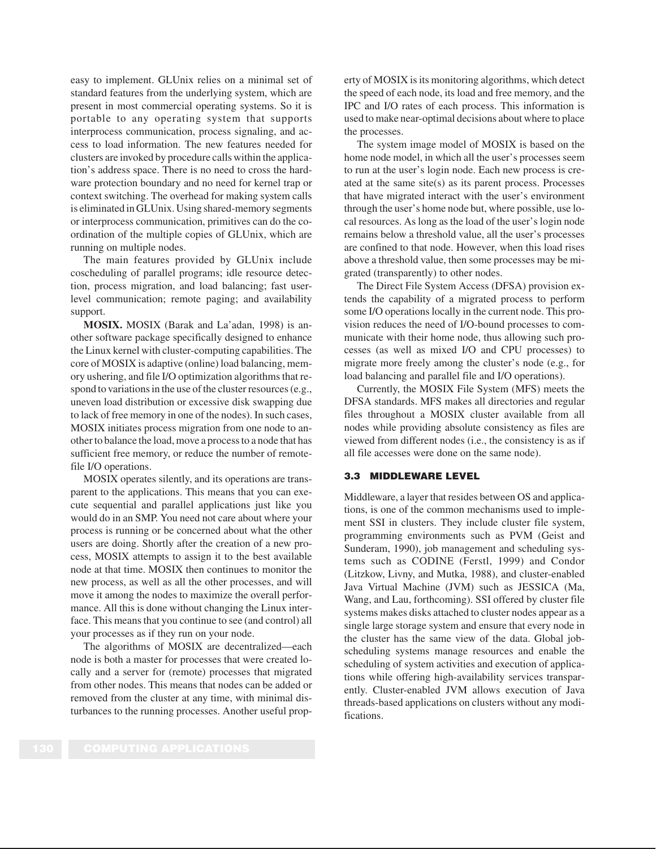easy to implement. GLUnix relies on a minimal set of standard features from the underlying system, which are present in most commercial operating systems. So it is portable to any operating system that supports interprocess communication, process signaling, and access to load information. The new features needed for clusters are invoked by procedure calls within the application's address space. There is no need to cross the hardware protection boundary and no need for kernel trap or context switching. The overhead for making system calls is eliminated in GLUnix. Using shared-memory segments or interprocess communication, primitives can do the coordination of the multiple copies of GLUnix, which are running on multiple nodes.

The main features provided by GLUnix include coscheduling of parallel programs; idle resource detection, process migration, and load balancing; fast userlevel communication; remote paging; and availability support.

**MOSIX.** MOSIX (Barak and La'adan, 1998) is another software package specifically designed to enhance the Linux kernel with cluster-computing capabilities. The core of MOSIX is adaptive (online) load balancing, memory ushering, and file I/O optimization algorithms that respond to variations in the use of the cluster resources (e.g., uneven load distribution or excessive disk swapping due to lack of free memory in one of the nodes). In such cases, MOSIX initiates process migration from one node to another to balance the load, move a process to a node that has sufficient free memory, or reduce the number of remotefile I/O operations.

MOSIX operates silently, and its operations are transparent to the applications. This means that you can execute sequential and parallel applications just like you would do in an SMP. You need not care about where your process is running or be concerned about what the other users are doing. Shortly after the creation of a new process, MOSIX attempts to assign it to the best available node at that time. MOSIX then continues to monitor the new process, as well as all the other processes, and will move it among the nodes to maximize the overall performance. All this is done without changing the Linux interface. This means that you continue to see (and control) all your processes as if they run on your node.

The algorithms of MOSIX are decentralized—each node is both a master for processes that were created locally and a server for (remote) processes that migrated from other nodes. This means that nodes can be added or removed from the cluster at any time, with minimal disturbances to the running processes. Another useful property of MOSIX is its monitoring algorithms, which detect the speed of each node, its load and free memory, and the IPC and I/O rates of each process. This information is used to make near-optimal decisions about where to place the processes.

The system image model of MOSIX is based on the home node model, in which all the user's processes seem to run at the user's login node. Each new process is created at the same site(s) as its parent process. Processes that have migrated interact with the user's environment through the user's home node but, where possible, use local resources. As long as the load of the user's login node remains below a threshold value, all the user's processes are confined to that node. However, when this load rises above a threshold value, then some processes may be migrated (transparently) to other nodes.

The Direct File System Access (DFSA) provision extends the capability of a migrated process to perform some I/O operations locally in the current node. This provision reduces the need of I/O-bound processes to communicate with their home node, thus allowing such processes (as well as mixed I/O and CPU processes) to migrate more freely among the cluster's node (e.g., for load balancing and parallel file and I/O operations).

Currently, the MOSIX File System (MFS) meets the DFSA standards. MFS makes all directories and regular files throughout a MOSIX cluster available from all nodes while providing absolute consistency as files are viewed from different nodes (i.e., the consistency is as if all file accesses were done on the same node).

## **3.3 MIDDLEWARE LEVEL**

Middleware, a layer that resides between OS and applications, is one of the common mechanisms used to implement SSI in clusters. They include cluster file system, programming environments such as PVM (Geist and Sunderam, 1990), job management and scheduling systems such as CODINE (Ferstl, 1999) and Condor (Litzkow, Livny, and Mutka, 1988), and cluster-enabled Java Virtual Machine (JVM) such as JESSICA (Ma, Wang, and Lau, forthcoming). SSI offered by cluster file systems makes disks attached to cluster nodes appear as a single large storage system and ensure that every node in the cluster has the same view of the data. Global jobscheduling systems manage resources and enable the scheduling of system activities and execution of applications while offering high-availability services transparently. Cluster-enabled JVM allows execution of Java threads-based applications on clusters without any modifications.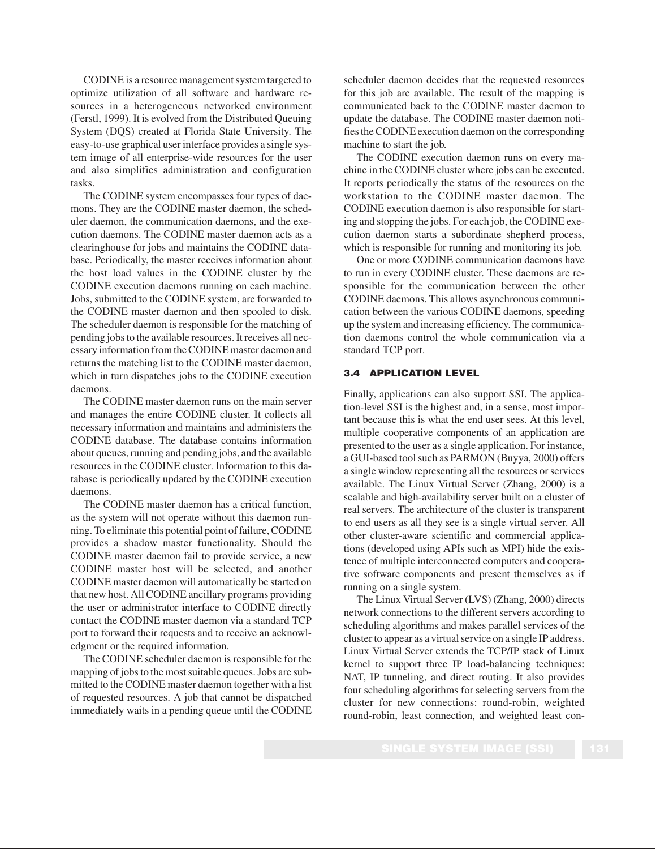CODINE is a resource management system targeted to optimize utilization of all software and hardware resources in a heterogeneous networked environment (Ferstl, 1999). It is evolved from the Distributed Queuing System (DQS) created at Florida State University. The easy-to-use graphical user interface provides a single system image of all enterprise-wide resources for the user and also simplifies administration and configuration tasks.

The CODINE system encompasses four types of daemons. They are the CODINE master daemon, the scheduler daemon, the communication daemons, and the execution daemons. The CODINE master daemon acts as a clearinghouse for jobs and maintains the CODINE database. Periodically, the master receives information about the host load values in the CODINE cluster by the CODINE execution daemons running on each machine. Jobs, submitted to the CODINE system, are forwarded to the CODINE master daemon and then spooled to disk. The scheduler daemon is responsible for the matching of pending jobs to the available resources. It receives all necessary information from the CODINE master daemon and returns the matching list to the CODINE master daemon, which in turn dispatches jobs to the CODINE execution daemons.

The CODINE master daemon runs on the main server and manages the entire CODINE cluster. It collects all necessary information and maintains and administers the CODINE database. The database contains information about queues, running and pending jobs, and the available resources in the CODINE cluster. Information to this database is periodically updated by the CODINE execution daemons.

The CODINE master daemon has a critical function, as the system will not operate without this daemon running. To eliminate this potential point of failure, CODINE provides a shadow master functionality. Should the CODINE master daemon fail to provide service, a new CODINE master host will be selected, and another CODINE master daemon will automatically be started on that new host. All CODINE ancillary programs providing the user or administrator interface to CODINE directly contact the CODINE master daemon via a standard TCP port to forward their requests and to receive an acknowledgment or the required information.

The CODINE scheduler daemon is responsible for the mapping of jobs to the most suitable queues. Jobs are submitted to the CODINE master daemon together with a list of requested resources. A job that cannot be dispatched immediately waits in a pending queue until the CODINE scheduler daemon decides that the requested resources for this job are available. The result of the mapping is communicated back to the CODINE master daemon to update the database. The CODINE master daemon notifies the CODINE execution daemon on the corresponding machine to start the job.

The CODINE execution daemon runs on every machine in the CODINE cluster where jobs can be executed. It reports periodically the status of the resources on the workstation to the CODINE master daemon. The CODINE execution daemon is also responsible for starting and stopping the jobs. For each job, the CODINE execution daemon starts a subordinate shepherd process, which is responsible for running and monitoring its job.

One or more CODINE communication daemons have to run in every CODINE cluster. These daemons are responsible for the communication between the other CODINE daemons. This allows asynchronous communication between the various CODINE daemons, speeding up the system and increasing efficiency. The communication daemons control the whole communication via a standard TCP port.

#### **3.4 APPLICATION LEVEL**

Finally, applications can also support SSI. The application-level SSI is the highest and, in a sense, most important because this is what the end user sees. At this level, multiple cooperative components of an application are presented to the user as a single application. For instance, a GUI-based tool such as PARMON (Buyya, 2000) offers a single window representing all the resources or services available. The Linux Virtual Server (Zhang, 2000) is a scalable and high-availability server built on a cluster of real servers. The architecture of the cluster is transparent to end users as all they see is a single virtual server. All other cluster-aware scientific and commercial applications (developed using APIs such as MPI) hide the existence of multiple interconnected computers and cooperative software components and present themselves as if running on a single system.

The Linux Virtual Server (LVS) (Zhang, 2000) directs network connections to the different servers according to scheduling algorithms and makes parallel services of the cluster to appear as a virtual service on a single IP address. Linux Virtual Server extends the TCP/IP stack of Linux kernel to support three IP load-balancing techniques: NAT, IP tunneling, and direct routing. It also provides four scheduling algorithms for selecting servers from the cluster for new connections: round-robin, weighted round-robin, least connection, and weighted least con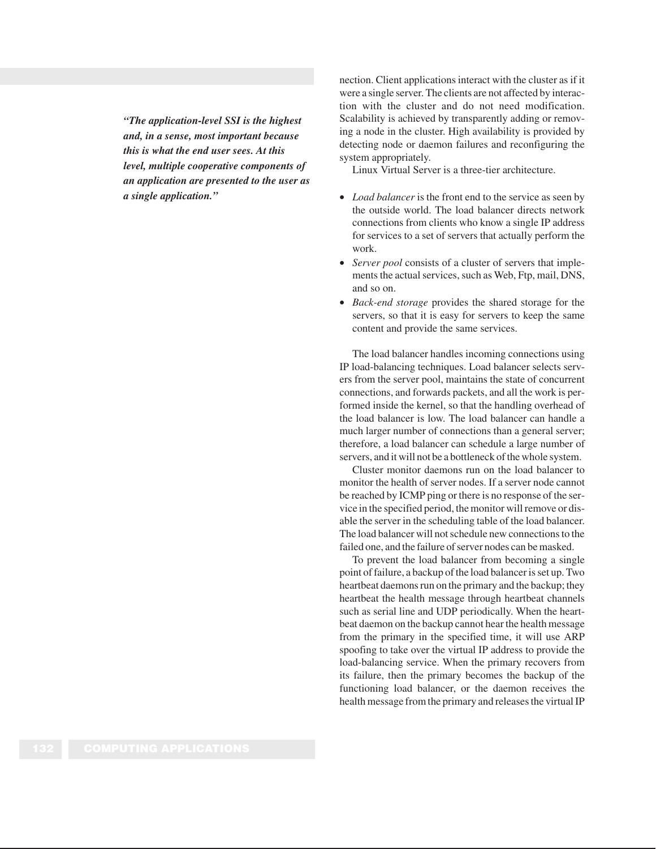*"The application-level SSI is the highest and, in a sense, most important because this is what the end user sees. At this level, multiple cooperative components of an application are presented to the user as a single application."*

nection. Client applications interact with the cluster as if it were a single server. The clients are not affected by interaction with the cluster and do not need modification. Scalability is achieved by transparently adding or removing a node in the cluster. High availability is provided by detecting node or daemon failures and reconfiguring the system appropriately.

Linux Virtual Server is a three-tier architecture.

- *Load balancer* is the front end to the service as seen by the outside world. The load balancer directs network connections from clients who know a single IP address for services to a set of servers that actually perform the work.
- *Server pool* consists of a cluster of servers that implements the actual services, such as Web, Ftp, mail, DNS, and so on.
- *Back-end storage* provides the shared storage for the servers, so that it is easy for servers to keep the same content and provide the same services.

The load balancer handles incoming connections using IP load-balancing techniques. Load balancer selects servers from the server pool, maintains the state of concurrent connections, and forwards packets, and all the work is performed inside the kernel, so that the handling overhead of the load balancer is low. The load balancer can handle a much larger number of connections than a general server; therefore, a load balancer can schedule a large number of servers, and it will not be a bottleneck of the whole system.

Cluster monitor daemons run on the load balancer to monitor the health of server nodes. If a server node cannot be reached by ICMP ping or there is no response of the service in the specified period, the monitor will remove or disable the server in the scheduling table of the load balancer. The load balancer will not schedule new connections to the failed one, and the failure of server nodes can be masked.

To prevent the load balancer from becoming a single point of failure, a backup of the load balancer is set up. Two heartbeat daemons run on the primary and the backup; they heartbeat the health message through heartbeat channels such as serial line and UDP periodically. When the heartbeat daemon on the backup cannot hear the health message from the primary in the specified time, it will use ARP spoofing to take over the virtual IP address to provide the load-balancing service. When the primary recovers from its failure, then the primary becomes the backup of the functioning load balancer, or the daemon receives the health message from the primary and releases the virtual IP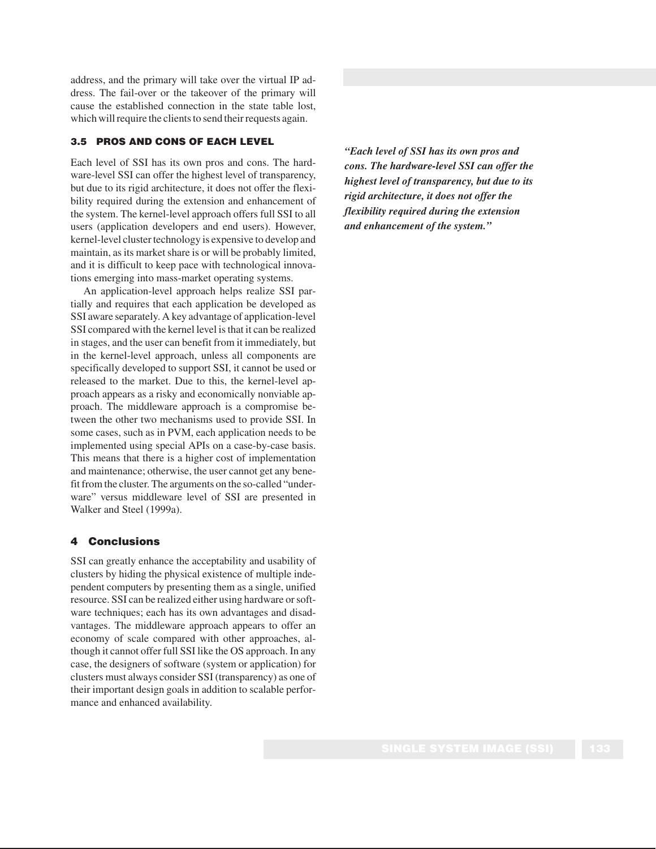address, and the primary will take over the virtual IP address. The fail-over or the takeover of the primary will cause the established connection in the state table lost, which will require the clients to send their requests again.

## **3.5 PROS AND CONS OF EACH LEVEL**

Each level of SSI has its own pros and cons. The hardware-level SSI can offer the highest level of transparency, but due to its rigid architecture, it does not offer the flexibility required during the extension and enhancement of the system. The kernel-level approach offers full SSI to all users (application developers and end users). However, kernel-level cluster technology is expensive to develop and maintain, as its market share is or will be probably limited, and it is difficult to keep pace with technological innovations emerging into mass-market operating systems.

An application-level approach helps realize SSI partially and requires that each application be developed as SSI aware separately. A key advantage of application-level SSI compared with the kernel level is that it can be realized in stages, and the user can benefit from it immediately, but in the kernel-level approach, unless all components are specifically developed to support SSI, it cannot be used or released to the market. Due to this, the kernel-level approach appears as a risky and economically nonviable approach. The middleware approach is a compromise between the other two mechanisms used to provide SSI. In some cases, such as in PVM, each application needs to be implemented using special APIs on a case-by-case basis. This means that there is a higher cost of implementation and maintenance; otherwise, the user cannot get any benefit from the cluster. The arguments on the so-called "underware" versus middleware level of SSI are presented in Walker and Steel (1999a).

### **4 Conclusions**

SSI can greatly enhance the acceptability and usability of clusters by hiding the physical existence of multiple independent computers by presenting them as a single, unified resource. SSI can be realized either using hardware or software techniques; each has its own advantages and disadvantages. The middleware approach appears to offer an economy of scale compared with other approaches, although it cannot offer full SSI like the OS approach. In any case, the designers of software (system or application) for clusters must always consider SSI (transparency) as one of their important design goals in addition to scalable performance and enhanced availability.

*"Each level of SSI has its own pros and cons. The hardware-level SSI can offer the highest level of transparency, but due to its rigid architecture, it does not offer the flexibility required during the extension and enhancement of the system."*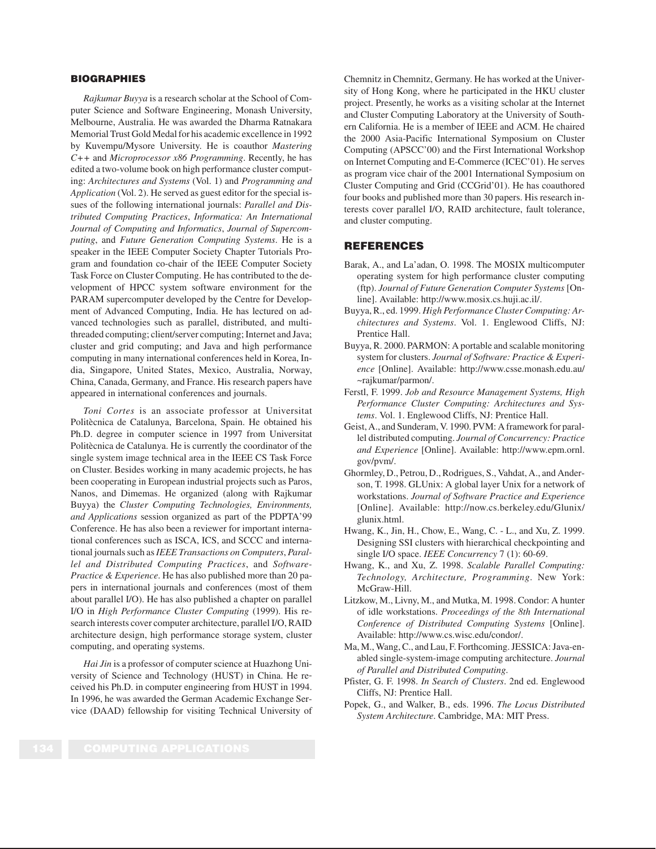#### **BIOGRAPHIES**

*Rajkumar Buyya* is a research scholar at the School of Computer Science and Software Engineering, Monash University, Melbourne, Australia. He was awarded the Dharma Ratnakara Memorial Trust Gold Medal for his academic excellence in 1992 by Kuvempu/Mysore University. He is coauthor *Mastering C++* and *Microprocessor x86 Programming*. Recently, he has edited a two-volume book on high performance cluster computing: *Architectures and Systems* (Vol. 1) and *Programming and Application* (Vol. 2). He served as guest editor for the special issues of the following international journals: *Parallel and Distributed Computing Practices*, *Informatica: An International Journal of Computing and Informatics*, *Journal of Supercomputing*, and *Future Generation Computing Systems*. He is a speaker in the IEEE Computer Society Chapter Tutorials Program and foundation co-chair of the IEEE Computer Society Task Force on Cluster Computing. He has contributed to the development of HPCC system software environment for the PARAM supercomputer developed by the Centre for Development of Advanced Computing, India. He has lectured on advanced technologies such as parallel, distributed, and multithreaded computing; client/server computing; Internet and Java; cluster and grid computing; and Java and high performance computing in many international conferences held in Korea, India, Singapore, United States, Mexico, Australia, Norway, China, Canada, Germany, and France. His research papers have appeared in international conferences and journals.

*Toni Cortes* is an associate professor at Universitat Politècnica de Catalunya, Barcelona, Spain. He obtained his Ph.D. degree in computer science in 1997 from Universitat Politècnica de Catalunya. He is currently the coordinator of the single system image technical area in the IEEE CS Task Force on Cluster. Besides working in many academic projects, he has been cooperating in European industrial projects such as Paros, Nanos, and Dimemas. He organized (along with Rajkumar Buyya) the *Cluster Computing Technologies, Environments, and Applications* session organized as part of the PDPTA'99 Conference. He has also been a reviewer for important international conferences such as ISCA, ICS, and SCCC and international journals such as*IEEE Transactions on Computers*, *Parallel and Distributed Computing Practices*, and *Software-Practice & Experience*. He has also published more than 20 papers in international journals and conferences (most of them about parallel I/O). He has also published a chapter on parallel I/O in *High Performance Cluster Computing* (1999). His research interests cover computer architecture, parallel I/O, RAID architecture design, high performance storage system, cluster computing, and operating systems.

*Hai Jin* is a professor of computer science at Huazhong University of Science and Technology (HUST) in China. He received his Ph.D. in computer engineering from HUST in 1994. In 1996, he was awarded the German Academic Exchange Service (DAAD) fellowship for visiting Technical University of

Chemnitz in Chemnitz, Germany. He has worked at the University of Hong Kong, where he participated in the HKU cluster project. Presently, he works as a visiting scholar at the Internet and Cluster Computing Laboratory at the University of Southern California. He is a member of IEEE and ACM. He chaired the 2000 Asia-Pacific International Symposium on Cluster Computing (APSCC'00) and the First International Workshop on Internet Computing and E-Commerce (ICEC'01). He serves as program vice chair of the 2001 International Symposium on Cluster Computing and Grid (CCGrid'01). He has coauthored four books and published more than 30 papers. His research interests cover parallel I/O, RAID architecture, fault tolerance, and cluster computing.

### **REFERENCES**

- Barak, A., and La'adan, O. 1998. The MOSIX multicomputer operating system for high performance cluster computing (ftp). *Journal of Future Generation Computer Systems* [Online]. Available: http://www.mosix.cs.huji.ac.il/.
- Buyya, R., ed. 1999. *High Performance Cluster Computing: Architectures and Systems*. Vol. 1. Englewood Cliffs, NJ: Prentice Hall.
- Buyya, R. 2000. PARMON: A portable and scalable monitoring system for clusters. *Journal of Software: Practice & Experience* [Online]. Available: http://www.csse.monash.edu.au/ ~rajkumar/parmon/.
- Ferstl, F. 1999. *Job and Resource Management Systems, High Performance Cluster Computing: Architectures and Systems*. Vol. 1. Englewood Cliffs, NJ: Prentice Hall.
- Geist, A., and Sunderam, V. 1990. PVM: A framework for parallel distributed computing. *Journal of Concurrency: Practice and Experience* [Online]. Available: http://www.epm.ornl. gov/pvm/.
- Ghormley, D., Petrou, D., Rodrigues, S., Vahdat, A., and Anderson, T. 1998. GLUnix: A global layer Unix for a network of workstations. *Journal of Software Practice and Experience* [Online]. Available: http://now.cs.berkeley.edu/Glunix/ glunix.html.
- Hwang, K., Jin, H., Chow, E., Wang, C. L., and Xu, Z. 1999. Designing SSI clusters with hierarchical checkpointing and single I/O space. *IEEE Concurrency* 7 (1): 60-69.
- Hwang, K., and Xu, Z. 1998. *Scalable Parallel Computing: Technology, Architecture, Programming*. New York: McGraw-Hill.
- Litzkow, M., Livny, M., and Mutka, M. 1998. Condor: A hunter of idle workstations. *Proceedings of the 8th International Conference of Distributed Computing Systems* [Online]. Available: http://www.cs.wisc.edu/condor/.
- Ma, M., Wang, C., and Lau, F. Forthcoming. JESSICA: Java-enabled single-system-image computing architecture. *Journal of Parallel and Distributed Computing*.
- Pfister, G. F. 1998. *In Search of Clusters*. 2nd ed. Englewood Cliffs, NJ: Prentice Hall.
- Popek, G., and Walker, B., eds. 1996. *The Locus Distributed System Architecture*. Cambridge, MA: MIT Press.